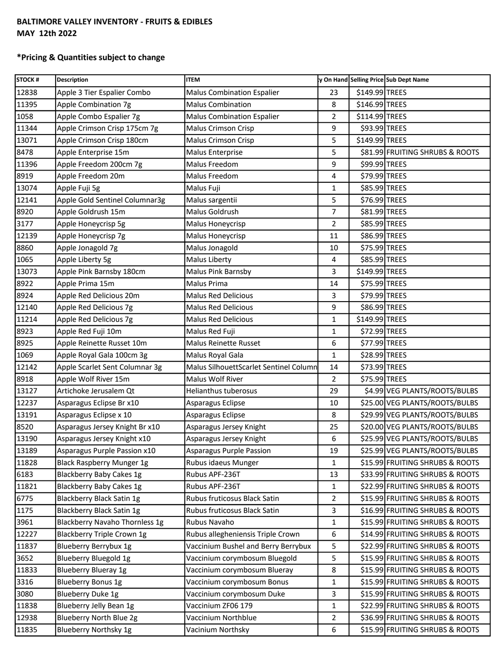## **BALTIMORE VALLEY INVENTORY - FRUITS & EDIBLES MAY 12th 2022**

## **\*Pricing & Quantities subject to change**

| <b>STOCK#</b> | <b>Description</b>             | <b>ITEM</b>                            |                |                | y On Hand Selling Price Sub Dept Name |
|---------------|--------------------------------|----------------------------------------|----------------|----------------|---------------------------------------|
| 12838         | Apple 3 Tier Espalier Combo    | <b>Malus Combination Espalier</b>      | 23             | \$149.99 TREES |                                       |
| 11395         | Apple Combination 7g           | <b>Malus Combination</b>               | 8              | \$146.99 TREES |                                       |
| 1058          | Apple Combo Espalier 7g        | <b>Malus Combination Espalier</b>      | $\overline{2}$ | \$114.99 TREES |                                       |
| 11344         | Apple Crimson Crisp 175cm 7g   | Malus Crimson Crisp                    | 9              | \$93.99 TREES  |                                       |
| 13071         | Apple Crimson Crisp 180cm      | Malus Crimson Crisp                    | 5              | \$149.99 TREES |                                       |
| 8478          | Apple Enterprise 15m           | Malus Enterprise                       | 5              |                | \$81.99 FRUITING SHRUBS & ROOTS       |
| 11396         | Apple Freedom 200cm 7g         | Malus Freedom                          | 9              | \$99.99 TREES  |                                       |
| 8919          | Apple Freedom 20m              | Malus Freedom                          | 4              | \$79.99 TREES  |                                       |
| 13074         | Apple Fuji 5g                  | Malus Fuji                             | 1              | \$85.99 TREES  |                                       |
| 12141         | Apple Gold Sentinel Columnar3g | Malus sargentii                        | 5              | \$76.99 TREES  |                                       |
| 8920          | Apple Goldrush 15m             | Malus Goldrush                         | 7              | \$81.99 TREES  |                                       |
| 3177          | Apple Honeycrisp 5g            | Malus Honeycrisp                       | 2              | \$85.99 TREES  |                                       |
| 12139         | Apple Honeycrisp 7g            | Malus Honeycrisp                       | 11             | \$86.99 TREES  |                                       |
| 8860          | Apple Jonagold 7g              | Malus Jonagold                         | 10             | \$75.99 TREES  |                                       |
| 1065          | Apple Liberty 5g               | Malus Liberty                          | 4              | \$85.99 TREES  |                                       |
| 13073         | Apple Pink Barnsby 180cm       | Malus Pink Barnsby                     | 3              | \$149.99 TREES |                                       |
| 8922          | Apple Prima 15m                | Malus Prima                            | 14             | \$75.99 TREES  |                                       |
| 8924          | Apple Red Delicious 20m        | <b>Malus Red Delicious</b>             | 3              | \$79.99 TREES  |                                       |
| 12140         | Apple Red Delicious 7g         | <b>Malus Red Delicious</b>             | 9              | \$86.99 TREES  |                                       |
| 11214         | Apple Red Delicious 7g         | <b>Malus Red Delicious</b>             | 1              | \$149.99 TREES |                                       |
| 8923          | Apple Red Fuji 10m             | Malus Red Fuji                         | 1              | \$72.99 TREES  |                                       |
| 8925          | Apple Reinette Russet 10m      | Malus Reinette Russet                  | 6              | \$77.99 TREES  |                                       |
| 1069          | Apple Royal Gala 100cm 3g      | Malus Royal Gala                       | $\mathbf{1}$   | \$28.99 TREES  |                                       |
| 12142         | Apple Scarlet Sent Columnar 3g | Malus SilhouettScarlet Sentinel Column | 14             | \$73.99 TREES  |                                       |
| 8918          | Apple Wolf River 15m           | Malus Wolf River                       | $\overline{2}$ | \$75.99 TREES  |                                       |
| 13127         | Artichoke Jerusalem Qt         | Helianthus tuberosus                   | 29             |                | \$4.99 VEG PLANTS/ROOTS/BULBS         |
| 12237         | Asparagus Eclipse Br x10       | Asparagus Eclipse                      | 10             |                | \$25.00 VEG PLANTS/ROOTS/BULBS        |
| 13191         | Asparagus Eclipse x 10         | Asparagus Eclipse                      | 8              |                | \$29.99 VEG PLANTS/ROOTS/BULBS        |
| 8520          | Asparagus Jersey Knight Br x10 | Asparagus Jersey Knight                | 25             |                | \$20.00 VEG PLANTS/ROOTS/BULBS        |
| 13190         | Asparagus Jersey Knight x10    | Asparagus Jersey Knight                | 6              |                | \$25.99 VEG PLANTS/ROOTS/BULBS        |
| 13189         | Asparagus Purple Passion x10   | Asparagus Purple Passion               | 19             |                | \$25.99 VEG PLANTS/ROOTS/BULBS        |
| 11828         | Black Raspberry Munger 1g      | Rubus idaeus Munger                    | $\mathbf{1}$   |                | \$15.99 FRUITING SHRUBS & ROOTS       |
| 6183          | Blackberry Baby Cakes 1g       | Rubus APF-236T                         | 13             |                | \$33.99 FRUITING SHRUBS & ROOTS       |
| 11821         | Blackberry Baby Cakes 1g       | Rubus APF-236T                         | 1              |                | \$22.99 FRUITING SHRUBS & ROOTS       |
| 6775          | Blackberry Black Satin 1g      | Rubus fruticosus Black Satin           | $\overline{2}$ |                | \$15.99 FRUITING SHRUBS & ROOTS       |
| 1175          | Blackberry Black Satin 1g      | Rubus fruticosus Black Satin           | 3              |                | \$16.99 FRUITING SHRUBS & ROOTS       |
| 3961          | Blackberry Navaho Thornless 1g | Rubus Navaho                           | 1              |                | \$15.99 FRUITING SHRUBS & ROOTS       |
| 12227         | Blackberry Triple Crown 1g     | Rubus allegheniensis Triple Crown      | 6              |                | \$14.99 FRUITING SHRUBS & ROOTS       |
| 11837         | Blueberry Berrybux 1g          | Vaccinium Bushel and Berry Berrybux    | 5              |                | \$22.99 FRUITING SHRUBS & ROOTS       |
| 3652          | Blueberry Bluegold 1g          | Vaccinium corymbosum Bluegold          | 5              |                | \$15.99 FRUITING SHRUBS & ROOTS       |
| 11833         | <b>Blueberry Blueray 1g</b>    | Vaccinium corymbosum Blueray           | 8              |                | \$15.99 FRUITING SHRUBS & ROOTS       |
| 3316          | <b>Blueberry Bonus 1g</b>      | Vaccinium corymbosum Bonus             | 1              |                | \$15.99 FRUITING SHRUBS & ROOTS       |
| 3080          | Blueberry Duke 1g              | Vaccinium corymbosum Duke              | 3              |                | \$15.99 FRUITING SHRUBS & ROOTS       |
| 11838         | Blueberry Jelly Bean 1g        | Vaccinium ZF06 179                     | 1              |                | \$22.99 FRUITING SHRUBS & ROOTS       |
| 12938         | Blueberry North Blue 2g        | Vaccinium Northblue                    | 2              |                | \$36.99 FRUITING SHRUBS & ROOTS       |
| 11835         | Blueberry Northsky 1g          | Vacinium Northsky                      | 6              |                | \$15.99 FRUITING SHRUBS & ROOTS       |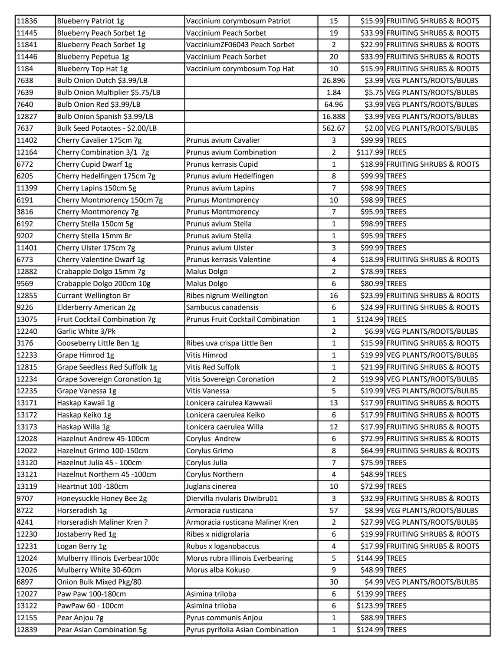| 11836 | <b>Blueberry Patriot 1g</b>     | Vaccinium corymbosum Patriot      | 15             |                | \$15.99 FRUITING SHRUBS & ROOTS |
|-------|---------------------------------|-----------------------------------|----------------|----------------|---------------------------------|
| 11445 | Blueberry Peach Sorbet 1g       | Vaccinium Peach Sorbet            | 19             |                | \$33.99 FRUITING SHRUBS & ROOTS |
| 11841 | Blueberry Peach Sorbet 1g       | VacciniumZF06043 Peach Sorbet     | $\overline{2}$ |                | \$22.99 FRUITING SHRUBS & ROOTS |
| 11446 | Blueberry Pepetua 1g            | Vaccinium Peach Sorbet            | 20             |                | \$33.99 FRUITING SHRUBS & ROOTS |
| 1184  | <b>Blueberry Top Hat 1g</b>     | Vaccinium corymbosum Top Hat      | 10             |                | \$15.99 FRUITING SHRUBS & ROOTS |
| 7638  | Bulb Onion Dutch \$3.99/LB      |                                   | 26.896         |                | \$3.99 VEG PLANTS/ROOTS/BULBS   |
| 7639  | Bulb Onion Multiplier \$5.75/LB |                                   | 1.84           |                | \$5.75 VEG PLANTS/ROOTS/BULBS   |
| 7640  | Bulb Onion Red \$3.99/LB        |                                   | 64.96          |                | \$3.99 VEG PLANTS/ROOTS/BULBS   |
| 12827 | Bulb Onion Spanish \$3.99/LB    |                                   | 16.888         |                | \$3.99 VEG PLANTS/ROOTS/BULBS   |
| 7637  | Bulk Seed Potaotes - \$2.00/LB  |                                   | 562.67         |                | \$2.00 VEG PLANTS/ROOTS/BULBS   |
| 11402 | Cherry Cavalier 175cm 7g        | Prunus avium Cavalier             | 3              | \$99.99 TREES  |                                 |
| 12164 | Cherry Combination 3/1 7g       | Prunus avium Combination          | $\overline{2}$ | \$117.99 TREES |                                 |
| 6772  | Cherry Cupid Dwarf 1g           | Prunus kerrasis Cupid             | 1              |                | \$18.99 FRUITING SHRUBS & ROOTS |
| 6205  | Cherry Hedelfingen 175cm 7g     | Prunus avium Hedelfingen          | 8              | \$99.99 TREES  |                                 |
| 11399 | Cherry Lapins 150cm 5g          | Prunus avium Lapins               | $\overline{7}$ | \$98.99 TREES  |                                 |
| 6191  | Cherry Montmorency 150cm 7g     | <b>Prunus Montmorency</b>         | 10             | \$98.99 TREES  |                                 |
| 3816  | Cherry Montmorency 7g           | <b>Prunus Montmorency</b>         | $\overline{7}$ | \$95.99 TREES  |                                 |
| 6192  | Cherry Stella 150cm 5g          | Prunus avium Stella               | 1              | \$98.99 TREES  |                                 |
| 9202  | Cherry Stella 15mm Br           | Prunus avium Stella               | 1              | \$95.99 TREES  |                                 |
| 11401 | Cherry Ulster 175cm 7g          | Prunus avium Ulster               | 3              | \$99.99 TREES  |                                 |
| 6773  | Cherry Valentine Dwarf 1g       | Prunus kerrasis Valentine         | 4              |                | \$18.99 FRUITING SHRUBS & ROOTS |
| 12882 | Crabapple Dolgo 15mm 7g         | Malus Dolgo                       | $\overline{2}$ | \$78.99 TREES  |                                 |
| 9569  | Crabapple Dolgo 200cm 10g       | Malus Dolgo                       | 6              | \$80.99 TREES  |                                 |
| 12855 | <b>Currant Wellington Br</b>    | Ribes nigrum Wellington           | 16             |                | \$23.99 FRUITING SHRUBS & ROOTS |
| 9226  | Elderberry American 2g          | Sambucus canadensis               | 6              |                | \$24.99 FRUITING SHRUBS & ROOTS |
| 13075 | Fruit Cocktail Combination 7g   | Prunus Fruit Cocktail Combination | $\mathbf{1}$   | \$124.99 TREES |                                 |
| 12240 | Garlic White 3/Pk               |                                   | $\overline{2}$ |                | \$6.99 VEG PLANTS/ROOTS/BULBS   |
| 3176  | Gooseberry Little Ben 1g        | Ribes uva crispa Little Ben       | 1              |                | \$15.99 FRUITING SHRUBS & ROOTS |
| 12233 | Grape Himrod 1g                 | Vitis Himrod                      | $\mathbf{1}$   |                | \$19.99 VEG PLANTS/ROOTS/BULBS  |
| 12815 | Grape Seedless Red Suffolk 1g   | Vitis Red Suffolk                 | 1              |                | \$21.99 FRUITING SHRUBS & ROOTS |
| 12234 | Grape Sovereign Coronation 1g   | Vitis Sovereign Coronation        | $\overline{2}$ |                | \$19.99 VEG PLANTS/ROOTS/BULBS  |
| 12235 | Grape Vanessa 1g                | Vitis Vanessa                     | 5              |                | \$19.99 VEG PLANTS/ROOTS/BULBS  |
| 13171 | Haskap Kawaii 1g                | Lonicera cairulea Kawwaii         | 13             |                | \$17.99 FRUITING SHRUBS & ROOTS |
| 13172 | Haskap Keiko 1g                 | Lonicera caerulea Keiko           | 6              |                | \$17.99 FRUITING SHRUBS & ROOTS |
| 13173 | Haskap Willa 1g                 | Lonicera caerulea Willa           | 12             |                | \$17.99 FRUITING SHRUBS & ROOTS |
| 12028 | Hazelnut Andrew 45-100cm        | Corylus Andrew                    | 6              |                | \$72.99 FRUITING SHRUBS & ROOTS |
| 12022 | Hazelnut Grimo 100-150cm        | Corylus Grimo                     | 8              |                | \$64.99 FRUITING SHRUBS & ROOTS |
| 13120 | Hazelnut Julia 45 - 100cm       | Corylus Julia                     | $\overline{7}$ | \$75.99 TREES  |                                 |
| 13121 | Hazelnut Northern 45 -100cm     | Corylus Northern                  | 4              | \$48.99 TREES  |                                 |
| 13119 | Heartnut 100 -180cm             | Juglans cinerea                   | 10             | \$72.99 TREES  |                                 |
| 9707  | Honeysuckle Honey Bee 2g        | Diervilla rivularis Diwibru01     | 3              |                | \$32.99 FRUITING SHRUBS & ROOTS |
| 8722  | Horseradish 1g                  | Armoracia rusticana               | 57             |                | \$8.99 VEG PLANTS/ROOTS/BULBS   |
| 4241  | Horseradish Maliner Kren?       | Armoracia rusticana Maliner Kren  | $\mathbf{2}$   |                | \$27.99 VEG PLANTS/ROOTS/BULBS  |
| 12230 | Jostaberry Red 1g               | Ribes x nidigrolaria              | 6              |                | \$19.99 FRUITING SHRUBS & ROOTS |
| 12231 | Logan Berry 1g                  | Rubus x loganobaccus              | 4              |                | \$17.99 FRUITING SHRUBS & ROOTS |
| 12024 | Mulberry Illinois Everbear100c  | Morus rubra Illinois Everbearing  | 5              | \$144.99 TREES |                                 |
| 12026 | Mulberry White 30-60cm          | Morus alba Kokuso                 | 9              | \$48.99 TREES  |                                 |
| 6897  | Onion Bulk Mixed Pkg/80         |                                   | 30             |                | \$4.99 VEG PLANTS/ROOTS/BULBS   |
| 12027 | Paw Paw 100-180cm               | Asimina triloba                   | 6              | \$139.99 TREES |                                 |
| 13122 | PawPaw 60 - 100cm               | Asimina triloba                   | 6              | \$123.99 TREES |                                 |
| 12155 | Pear Anjou 7g                   | Pyrus communis Anjou              | $\mathbf{1}$   | \$88.99 TREES  |                                 |
| 12839 | Pear Asian Combination 5g       | Pyrus pyrifolia Asian Combination | $\mathbf{1}$   | \$124.99 TREES |                                 |